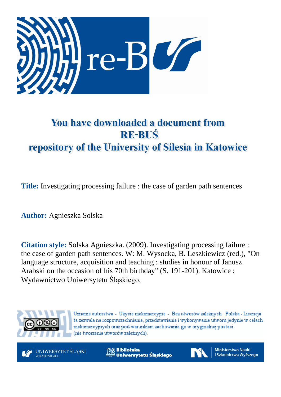

# You have downloaded a document from **RE-BUŚ** repository of the University of Silesia in Katowice

**Title:** Investigating processing failure : the case of garden path sentences

**Author:** Agnieszka Solska

**Citation style:** Solska Agnieszka. (2009). Investigating processing failure : the case of garden path sentences. W: M. Wysocka, B. Leszkiewicz (red.), "On language structure, acquisition and teaching : studies in honour of Janusz Arabski on the occasion of his 70th birthday" (S. 191-201). Katowice : Wydawnictwo Uniwersytetu Śląskiego.



Uznanie autorstwa - Użycie niekomercyjne - Bez utworów zależnych Polska - Licencja ta zezwala na rozpowszechnianie, przedstawianie i wykonywanie utworu jedynie w celach niekomercyjnych oraz pod warunkiem zachowania go w oryginalnej postaci (nie tworzenia utworów zależnych).



**Biblioteka** Uniwersytetu Śląskiego



**Ministerstwo Nauki** i Szkolnictwa Wyższego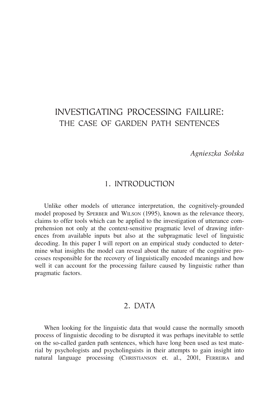# INVESTIGATING PROCESSING FAILURE: THE CASE OF GARDEN PATH SENTENCES

*Agnieszka Solska*

# 1. INTRODUCTION

Unlike other models of utterance interpretation, the cognitively-grounded model proposed by SPERBER and WILSON (1995), known as the relevance theory, claims to offer tools which can be applied to the investigation of utterance comprehension not only at the context-sensitive pragmatic level of drawing inferences from available inputs but also at the subpragmatic level of linguistic decoding. In this paper I will report on an empirical study conducted to determine what insights the model can reveal about the nature of the cognitive processes responsible for the recovery of linguistically encoded meanings and how well it can account for the processing failure caused by linguistic rather than pragmatic factors.

## 2. DATA

When looking for the linguistic data that would cause the normally smooth process of linguistic decoding to be disrupted it was perhaps inevitable to settle on the so-called garden path sentences, which have long been used as test material by psychologists and psycholinguists in their attempts to gain insight into natural language processing (CHRISTIANSON et. al., 2001, FERREIRA and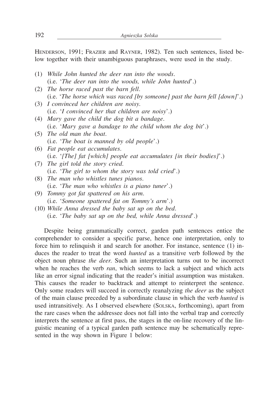HENDERSON, 1991; FRAZIER and RAYNER, 1982). Ten such sentences, listed below together with their unambiguous paraphrases, were used in the study.

- (1) *While John hunted the deer ran into the woods*. (i.e. '*The deer ran into the woods, while John hunted*'.) (2) *The horse raced past the barn fell*. (i.e. '*The horse which was raced [by someone] past the barn fell [down]*'.) (3) *I convinced her children are noisy*. (i.e. '*I convinced her that children are noisy*'.) (4) *Mary gave the child the dog bit a bandage*. (i.e. '*Mary gave a bandage to the child whom the dog bit*'.) (5) *The old man the boat*. (i.e. '*The boat is manned by old people*'.) (6) *Fat people eat accumulates*. (i.e. '*[The] fat [which] people eat accumulates [in their bodies]*'.) (7) *The girl told the story cried*. (i.e. '*The girl to whom the story was told cried*'.) (8) *The man who whistles tunes pianos*. (i.e. '*The man who whistles is a piano tuner*'.) (9) *Tommy got fat spattered on his arm*. (i.e. '*Someone spattered fat on Tommy's arm*'.) (10) *While Anna dressed the baby sat up on the bed*.
	- (i.e. '*The baby sat up on the bed, while Anna dressed*'.)

Despite being grammatically correct, garden path sentences entice the comprehender to consider a specific parse, hence one interpretation, only to force him to relinquish it and search for another. For instance, sentence (1) induces the reader to treat the word *hunted* as a transitive verb followed by the object noun phrase *the deer*. Such an interpretation turns out to be incorrect when he reaches the verb *ran*, which seems to lack a subject and which acts like an error signal indicating that the reader's initial assumption was mistaken. This causes the reader to backtrack and attempt to reinterpret the sentence. Only some readers will succeed in correctly reanalyzing *the deer* as the subject of the main clause preceded by a subordinate clause in which the verb *hunted* is used intransitively. As I observed elsewhere (SOLSKA, forthcoming), apart from the rare cases when the addressee does not fall into the verbal trap and correctly interprets the sentence at first pass, the stages in the on-line recovery of the linguistic meaning of a typical garden path sentence may be schematically represented in the way shown in Figure 1 below: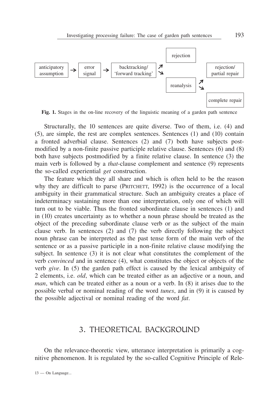

Fig. 1. Stages in the on-line recovery of the linguistic meaning of a garden path sentence

Structurally, the 10 sentences are quite diverse. Two of them, i.e. (4) and (5), are simple, the rest are complex sentences. Sentences (1) and (10) contain a fronted adverbial clause. Sentences (2) and (7) both have subjects postmodified by a non-finite passive participle relative clause. Sentences (6) and (8) both have subjects postmodified by a finite relative clause. In sentence (3) the main verb is followed by a *that*-clause complement and sentence (9) represents the so-called experiential *get* construction.

The feature which they all share and which is often held to be the reason why they are difficult to parse (PRITCHETT, 1992) is the occurrence of a local ambiguity in their grammatical structure. Such an ambiguity creates a place of indeterminacy sustaining more than one interpretation, only one of which will turn out to be viable. Thus the fronted subordinate clause in sentences (1) and in (10) creates uncertainty as to whether a noun phrase should be treated as the object of the preceding subordinate clause verb or as the subject of the main clause verb. In sentences (2) and (7) the verb directly following the subject noun phrase can be interpreted as the past tense form of the main verb of the sentence or as a passive participle in a non-finite relative clause modifying the subject. In sentence (3) it is not clear what constitutes the complement of the verb *convinced* and in sentence (4), what constitutes the object or objects of the verb *give*. In (5) the garden path effect is caused by the lexical ambiguity of 2 elements, i.e. *old*, which can be treated either as an adjective or a noun, and *man*, which can be treated either as a noun or a verb. In (8) it arises due to the possible verbal or nominal reading of the word *tunes*, and in (9) it is caused by the possible adjectival or nominal reading of the word *fat*.

#### 3. THEORETICAL BACKGROUND

On the relevance-theoretic view, utterance interpretation is primarily a cognitive phenomenon. It is regulated by the so-called Cognitive Principle of Rele-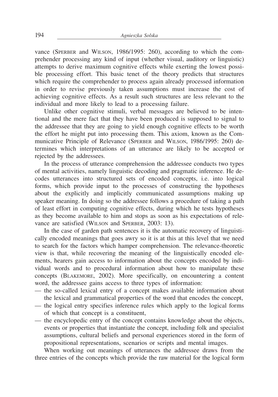vance (SPERBER and WILSON, 1986/1995: 260), according to which the comprehender processing any kind of input (whether visual, auditory or linguistic) attempts to derive maximum cognitive effects while exerting the lowest possible processing effort. This basic tenet of the theory predicts that structures which require the comprehender to process again already processed information in order to revise previously taken assumptions must increase the cost of achieving cognitive effects. As a result such structures are less relevant to the individual and more likely to lead to a processing failure.

Unlike other cognitive stimuli, verbal messages are believed to be intentional and the mere fact that they have been produced is supposed to signal to the addressee that they are going to yield enough cognitive effects to be worth the effort he might put into processing them. This axiom, known as the Communicative Principle of Relevance (SPERBER and WILSON, 1986/1995: 260) determines which interpretations of an utterance are likely to be accepted or rejected by the addressees.

In the process of utterance comprehension the addressee conducts two types of mental activities, namely linguistic decoding and pragmatic inference. He decodes utterances into structured sets of encoded concepts, i.e. into logical forms, which provide input to the processes of constructing the hypotheses about the explicitly and implicitly communicated assumptions making up speaker meaning. In doing so the addressee follows a procedure of taking a path of least effort in computing cognitive effects, during which he tests hypotheses as they become available to him and stops as soon as his expectations of relevance are satisfied (WILSON and SPERBER, 2003: 13).

In the case of garden path sentences it is the automatic recovery of linguistically encoded meanings that goes awry so it is at this at this level that we need to search for the factors which hamper comprehension. The relevance-theoretic view is that, while recovering the meaning of the linguistically encoded elements, hearers gain access to information about the concepts encoded by individual words and to procedural information about how to manipulate these concepts (BLAKEMORE, 2002). More specifically, on encountering a content word, the addressee gains access to three types of information:

- the so-called lexical entry of a concept makes available information about the lexical and grammatical properties of the word that encodes the concept,
- the logical entry specifies inference rules which apply to the logical forms of which that concept is a constituent,
- the encyclopedic entry of the concept contains knowledge about the objects, events or properties that instantiate the concept, including folk and specialist assumptions, cultural beliefs and personal experiences stored in the form of propositional representations, scenarios or scripts and mental images.

When working out meanings of utterances the addressee draws from the three entries of the concepts which provide the raw material for the logical form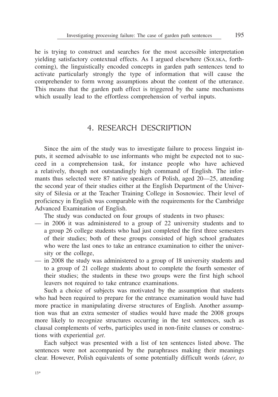he is trying to construct and searches for the most accessible interpretation yielding satisfactory contextual effects. As I argued elsewhere (SOLSKA, forthcoming), the linguistically encoded concepts in garden path sentences tend to activate particularly strongly the type of information that will cause the comprehender to form wrong assumptions about the content of the utterance. This means that the garden path effect is triggered by the same mechanisms which usually lead to the effortless comprehension of verbal inputs.

#### 4. RESEARCH DESCRIPTION

Since the aim of the study was to investigate failure to process linguist inputs, it seemed advisable to use informants who might be expected not to succeed in a comprehension task, for instance people who have achieved a relatively, though not outstandingly high command of English. The informants thus selected were 87 native speakers of Polish, aged 20—25, attending the second year of their studies either at the English Department of the University of Silesia or at the Teacher Training College in Sosnowiec. Their level of proficiency in English was comparable with the requirements for the Cambridge Advanced Examination of English.

The study was conducted on four groups of students in two phases:

- in 2006 it was administered to a group of 22 university students and to a group 26 college students who had just completed the first three semesters of their studies; both of these groups consisted of high school graduates who were the last ones to take an entrance examination to either the university or the college,
- in 2008 the study was administered to a group of 18 university students and to a group of 21 college students about to complete the fourth semester of their studies; the students in these two groups were the first high school leavers not required to take entrance examinations.

Such a choice of subjects was motivated by the assumption that students who had been required to prepare for the entrance examination would have had more practice in manipulating diverse structures of English. Another assumption was that an extra semester of studies would have made the 2008 groups more likely to recognize structures occurring in the test sentences, such as clausal complements of verbs, participles used in non-finite clauses or constructions with experiential *get*.

Each subject was presented with a list of ten sentences listed above. The sentences were not accompanied by the paraphrases making their meanings clear. However, Polish equivalents of some potentially difficult words (*deer*, *to*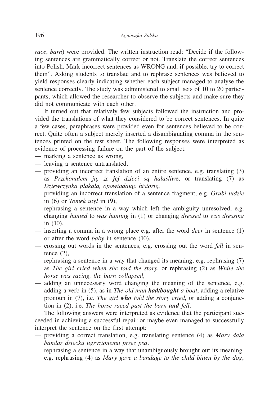*race*, *barn*) were provided. The written instruction read: "Decide if the following sentences are grammatically correct or not. Translate the correct sentences into Polish. Mark incorrect sentences as WRONG and, if possible, try to correct them". Asking students to translate and to rephrase sentences was believed to yield responses clearly indicating whether each subject managed to analyse the sentence correctly. The study was administered to small sets of 10 to 20 participants, which allowed the researcher to observe the subjects and make sure they did not communicate with each other.

It turned out that relatively few subjects followed the instruction and provided the translations of what they considered to be correct sentences. In quite a few cases, paraphrases were provided even for sentences believed to be correct. Quite often a subject merely inserted a disambiguating comma in the sentences printed on the test sheet. The following responses were interpreted as evidence of processing failure on the part of the subject:

- marking a sentence as wrong,
- leaving a sentence untranslated,
- providing an incorrect translation of an entire sentence, e.g. translating (3) as *Przekonałem ją, że jej dzieci są hałaśliw*e, or translating (7) as *Dziewczynka płakała, opowiadając historię*,
- providing an incorrect translation of a sentence fragment, e.g. *Grubi ludzie* in (6) or *Tomek utył* in (9),
- rephrasing a sentence in a way which left the ambiguity unresolved, e.g. changing *hunted* to *was hunting* in (1) or changing *dressed* to *was dressing* in (10),
- inserting a comma in a wrong place e.g. after the word *deer* in sentence (1) or after the word *baby* in sentence (10),
- crossing out words in the sentences, e.g. crossing out the word *fell* in sentence  $(2)$ ,
- rephrasing a sentence in a way that changed its meaning, e.g. rephrasing (7) as *The girl cried when she told the story*, or rephrasing (2) as *While the horse was racing, the barn collapsed*,
- adding an unnecessary word changing the meaning of the sentence, e.g. adding a verb in (5), as in *The old man had/bought a boat*, adding a relative pronoun in (7), i.e. *The girl who told the story cried*, or adding a conjunction in (2), i.e. *The horse raced past the barn and fell*.

The following answers were interpreted as evidence that the participant succeeded in achieving a successful repair or maybe even managed to successfully interpret the sentence on the first attempt:

- providing a correct translation, e.g. translating sentence (4) as *Mary dała bandaż dziecku ugryzionemu przez psa*,
- rephrasing a sentence in a way that unambiguously brought out its meaning. e.g. rephrasing (4) as *Mary gave a bandage to the child bitten by the dog*,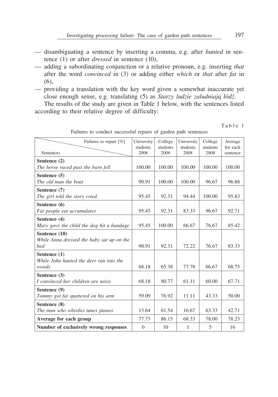- disambiguating a sentence by inserting a comma, e.g. after *hunted* in sentence (1) or after *dressed* in sentence (10),
- adding a subordinating conjunction or a relative pronoun, e.g. inserting *that* after the word *convinced* in (3) or adding either *which* or *that* after *fat* in (6),
- providing a translation with the key word given a somewhat inaccurate yet close enough sense, e.g. translating (5) as *Starzy ludzie zaludniają łódź*.

The results of the study are given in Table 1 below, with the sentences listed according to their relative degree of difficulty:

Failures to repair [%] Sentences University students 2006 College students 2006 University students 2008 College students 2008 Average for each sentence Sentence (2) *The horse raced past the barn fell*  $100.00 \mid 100.00 \mid 100.00 \mid 100.00 \mid 100.00$ Sentence (5) *The old man the boat* 90.91 | 100.00 | 100.00 | 96.67 | 96.88 Sentence (7) *The girl told the story cried* 95.45 92.31 94.44 100.00 95.83 Sentence (6) *Fat people eat accumulates* | 95.45 | 92.31 | 83.33 | 96.67 | 92.71 Sentence (4) *Mary gave the child the dog bit a bandage* | 95.45 | 100.00 | 66.67 | 76.67 | 85.42 Sentence (10) *While Anna dressed the baby sat up on the bed* 90.91 92.31 72.22 76.67 83.33 Sentence (1) *While John hunted the deer ran into the woods* 68.18 68.18 65.38 77.78 66.67 68.75 Sentence (3) *I* convinced her children are noisy  $\begin{array}{|l|c|c|c|c|c|} \hline 68.18 & 80.77 & 61.11 & 60.00 & 67.71 \hline \end{array}$ Sentence (9) *Tommy got fat spattered on his arm*  $\begin{array}{|l|c|c|c|c|} \hline \end{array}$  59.09 76.92 11.11 43.33 50.00 Sentence (8) *The man who whistles tunes pianos* 13.64 61.54 16.67 63.33 42.71 Average for each group 1 77.73 86.15 68.33 78.00 78.23 Number of exclusively wrong responses 0 10 1 5 16

Failures to conduct successful repairs of garden path sentences

Table 1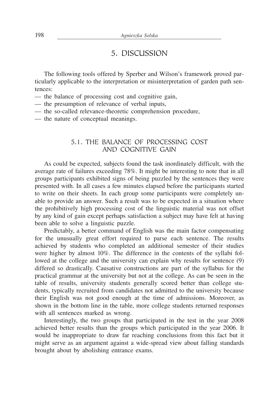### 5. DISCUSSION

The following tools offered by Sperber and Wilson's framework proved particularly applicable to the interpretation or misinterpretation of garden path sentences:

- the balance of processing cost and cognitive gain,
- the presumption of relevance of verbal inputs,
- the so-called relevance-theoretic comprehension procedure,
- the nature of conceptual meanings.

#### 5.1. THE BALANCE OF PROCESSING COST AND COGNITIVE GAIN

As could be expected, subjects found the task inordinately difficult, with the average rate of failures exceeding 78%. It might be interesting to note that in all groups participants exhibited signs of being puzzled by the sentences they were presented with. In all cases a few minutes elapsed before the participants started to write on their sheets. In each group some participants were completely unable to provide an answer. Such a result was to be expected in a situation where the prohibitively high processing cost of the linguistic material was not offset by any kind of gain except perhaps satisfaction a subject may have felt at having been able to solve a linguistic puzzle.

Predictably, a better command of English was the main factor compensating for the unusually great effort required to parse each sentence. The results achieved by students who completed an additional semester of their studies were higher by almost 10%. The difference in the contents of the syllabi followed at the college and the university can explain why results for sentence (9) differed so drastically. Causative constructions are part of the syllabus for the practical grammar at the university but not at the college. As can be seen in the table of results, university students generally scored better than college students, typically recruited from candidates not admitted to the university because their English was not good enough at the time of admissions. Moreover, as shown in the bottom line in the table, more college students returned responses with all sentences marked as wrong.

Interestingly, the two groups that participated in the test in the year 2008 achieved better results than the groups which participated in the year 2006. It would be inappropriate to draw far reaching conclusions from this fact but it might serve as an argument against a wide-spread view about falling standards brought about by abolishing entrance exams.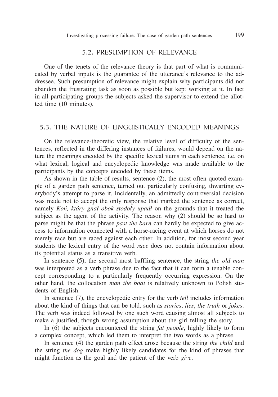#### 5.2. PRESUMPTION OF RELEVANCE

One of the tenets of the relevance theory is that part of what is communicated by verbal inputs is the guarantee of the utterance's relevance to the addressee. Such presumption of relevance might explain why participants did not abandon the frustrating task as soon as possible but kept working at it. In fact in all participating groups the subjects asked the supervisor to extend the allotted time (10 minutes).

#### 5.3. THE NATURE OF LINGUISTICALLY ENCODED MEANINGS

On the relevance-theoretic view, the relative level of difficulty of the sentences, reflected in the differing instances of failures, would depend on the nature the meanings encoded by the specific lexical items in each sentence, i.e. on what lexical, logical and encyclopedic knowledge was made available to the participants by the concepts encoded by these items.

As shown in the table of results, sentence (2), the most often quoted example of a garden path sentence, turned out particularly confusing, thwarting everybody's attempt to parse it. Incidentally, an admittedly controversial decision was made not to accept the only response that marked the sentence as correct, namely *Koń, który gnał obok stodoły upadł* on the grounds that it treated the subject as the agent of the activity. The reason why (2) should be so hard to parse might be that the phrase *past the barn* can hardly be expected to give access to information connected with a horse-racing event at which horses do not merely race but are raced against each other. In addition, for most second year students the lexical entry of the word *race* does not contain information about its potential status as a transitive verb.

In sentence (5), the second most baffling sentence, the string *the old man* was interpreted as a verb phrase due to the fact that it can form a tenable concept corresponding to a particularly frequently occurring expression. On the other hand, the collocation *man the boat* is relatively unknown to Polish students of English.

In sentence (7), the encyclopedic entry for the verb *tell* includes information about the kind of things that can be told, such as *stories*, *lies*, *the truth* or *jokes*. The verb was indeed followed by one such word causing almost all subjects to make a justified, though wrong assumption about the girl telling the story.

In (6) the subjects encountered the string *fat people*, highly likely to form a complex concept, which led them to interpret the two words as a phrase.

In sentence (4) the garden path effect arose because the string *the child* and the string *the dog* make highly likely candidates for the kind of phrases that might function as the goal and the patient of the verb *give*.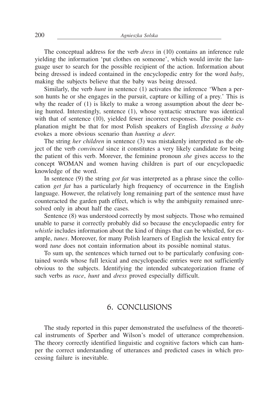The conceptual address for the verb *dress* in (10) contains an inference rule yielding the information 'put clothes on someone', which would invite the language user to search for the possible recipient of the action. Information about being dressed is indeed contained in the encyclopedic entry for the word *baby*, making the subjects believe that the baby was being dressed.

Similarly, the verb *hunt* in sentence (1) activates the inference 'When a person hunts he or she engages in the pursuit, capture or killing of a prey.' This is why the reader of (1) is likely to make a wrong assumption about the deer being hunted. Interestingly, sentence (1), whose syntactic structure was identical with that of sentence (10), yielded fewer incorrect responses. The possible explanation might be that for most Polish speakers of English *dressing a baby* evokes a more obvious scenario than *hunting a deer*.

The string *her children* in sentence (3) was mistakenly interpreted as the object of the verb *convinced* since it constitutes a very likely candidate for being the patient of this verb. Morever, the feminine pronoun *she* gives access to the concept WOMAN and women having children is part of our encyclopaedic knowledge of the word.

In sentence (9) the string *got fat* was interpreted as a phrase since the collocation *get fat* has a particularly high frequency of occurrence in the English language. However, the relatively long remaining part of the sentence must have counteracted the garden path effect, which is why the ambiguity remained unresolved only in about half the cases.

Sentence (8) was understood correctly by most subjects. Those who remained unable to parse it correctly probably did so because the encyclopaedic entry for *whistle* includes information about the kind of things that can be whistled, for example, *tunes*. Moreover, for many Polish learners of English the lexical entry for word *tune* does not contain information about its possible nominal status.

To sum up, the sentences which turned out to be particularly confusing contained words whose full lexical and encyclopaedic entries were not sufficiently obvious to the subjects. Identifying the intended subcategorization frame of such verbs as *race*, *hunt* and *dress* proved especially difficult.

#### 6. CONCLUSIONS

The study reported in this paper demonstrated the usefulness of the theoretical instruments of Sperber and Wilson's model of utterance comprehension. The theory correctly identified linguistic and cognitive factors which can hamper the correct understanding of utterances and predicted cases in which processing failure is inevitable.